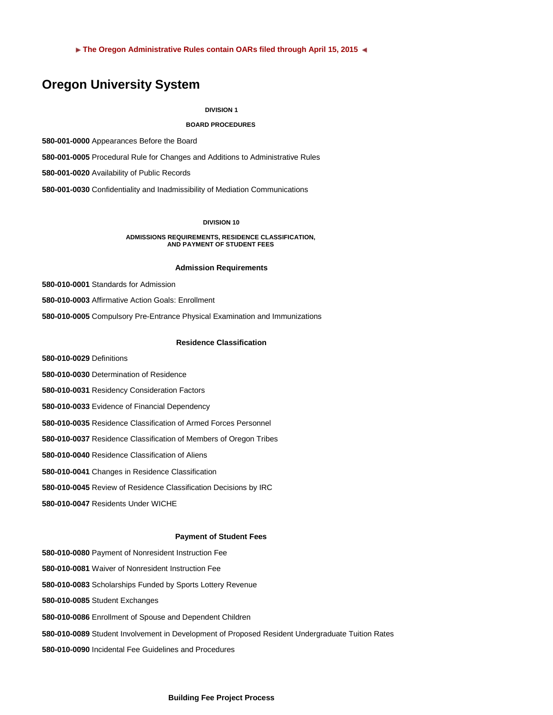**The Oregon Administrative Rules contain OARs filed through April 15, 2015** 

# **Oregon University System**

### **DIVISION 1**

# **BOARD PROCEDURES**

**580-001-0000** Appearances Before the Board

**580-001-0005** Procedural Rule for Changes and Additions to Administrative Rules

**580-001-0020** Availability of Public Records

**580-001-0030** Confidentiality and Inadmissibility of Mediation Communications

# **DIVISION 10**

**ADMISSIONS REQUIREMENTS, RESIDENCE CLASSIFICATION, AND PAYMENT OF STUDENT FEES**

### **Admission Requirements**

**580-010-0001** Standards for Admission

**580-010-0003** Affirmative Action Goals: Enrollment

**580-010-0005** Compulsory Pre-Entrance Physical Examination and Immunizations

### **Residence Classification**

**580-010-0029** Definitions

**580-010-0030** Determination of Residence

**580-010-0031** Residency Consideration Factors

**580-010-0033** Evidence of Financial Dependency

**580-010-0035** Residence Classification of Armed Forces Personnel

**580-010-0037** Residence Classification of Members of Oregon Tribes

**580-010-0040** Residence Classification of Aliens

**580-010-0041** Changes in Residence Classification

**580-010-0045** Review of Residence Classification Decisions by IRC

**580-010-0047** Residents Under WICHE

### **Payment of Student Fees**

**580-010-0080** Payment of Nonresident Instruction Fee

**580-010-0081** Waiver of Nonresident Instruction Fee

**580-010-0083** Scholarships Funded by Sports Lottery Revenue

**580-010-0085** Student Exchanges

**580-010-0086** Enrollment of Spouse and Dependent Children

**580-010-0089** Student Involvement in Development of Proposed Resident Undergraduate Tuition Rates

**580-010-0090** Incidental Fee Guidelines and Procedures

#### **Building Fee Project Process**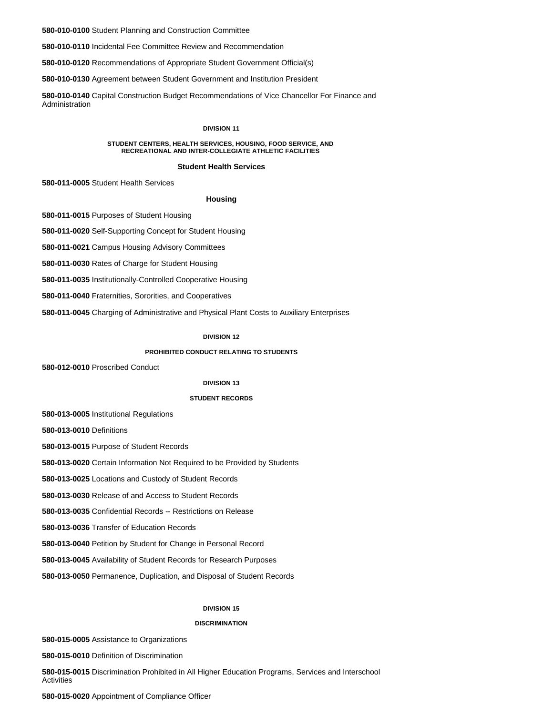**580-010-0100** Student Planning and Construction Committee

**580-010-0110** Incidental Fee Committee Review and Recommendation

**580-010-0120** Recommendations of Appropriate Student Government Official(s)

**580-010-0130** Agreement between Student Government and Institution President

**580-010-0140** Capital Construction Budget Recommendations of Vice Chancellor For Finance and Administration

#### **DIVISION 11**

#### **STUDENT CENTERS, HEALTH SERVICES, HOUSING, FOOD SERVICE, AND RECREATIONAL AND INTER-COLLEGIATE ATHLETIC FACILITIES**

#### **Student Health Services**

**580-011-0005** Student Health Services

#### **Housing**

**580-011-0015** Purposes of Student Housing

**580-011-0020** Self-Supporting Concept for Student Housing

**580-011-0021** Campus Housing Advisory Committees

**580-011-0030** Rates of Charge for Student Housing

**580-011-0035** Institutionally-Controlled Cooperative Housing

**580-011-0040** Fraternities, Sororities, and Cooperatives

**580-011-0045** Charging of Administrative and Physical Plant Costs to Auxiliary Enterprises

# **DIVISION 12**

#### **PROHIBITED CONDUCT RELATING TO STUDENTS**

**580-012-0010** Proscribed Conduct

#### **DIVISION 13**

### **STUDENT RECORDS**

**580-013-0005** Institutional Regulations

**580-013-0010** Definitions

**580-013-0015** Purpose of Student Records

**580-013-0020** Certain Information Not Required to be Provided by Students

**580-013-0025** Locations and Custody of Student Records

**580-013-0030** Release of and Access to Student Records

**580-013-0035** Confidential Records -- Restrictions on Release

**580-013-0036** Transfer of Education Records

**580-013-0040** Petition by Student for Change in Personal Record

**580-013-0045** Availability of Student Records for Research Purposes

**580-013-0050** Permanence, Duplication, and Disposal of Student Records

#### **DIVISION 15**

### **DISCRIMINATION**

**580-015-0005** Assistance to Organizations

**580-015-0010** Definition of Discrimination

**580-015-0015** Discrimination Prohibited in All Higher Education Programs, Services and Interschool Activities

**580-015-0020** Appointment of Compliance Officer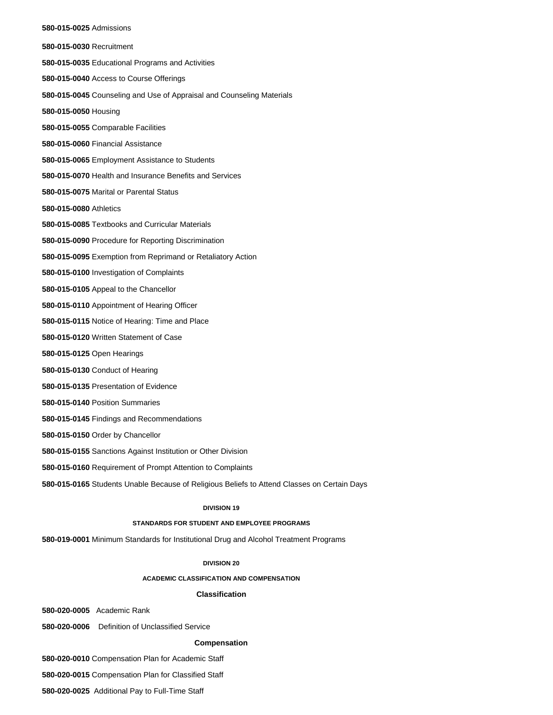#### **580-015-0025** Admissions

**580-015-0030** Recruitment **580-015-0035** Educational Programs and Activities **580-015-0040** Access to Course Offerings **580-015-0045** Counseling and Use of Appraisal and Counseling Materials **580-015-0050** Housing **580-015-0055** Comparable Facilities **580-015-0060** Financial Assistance **580-015-0065** Employment Assistance to Students **580-015-0070** Health and Insurance Benefits and Services **580-015-0075** Marital or Parental Status **580-015-0080** Athletics **580-015-0085** Textbooks and Curricular Materials **580-015-0090** Procedure for Reporting Discrimination **580-015-0095** Exemption from Reprimand or Retaliatory Action **580-015-0100** Investigation of Complaints **580-015-0105** Appeal to the Chancellor **580-015-0110** Appointment of Hearing Officer **580-015-0115** Notice of Hearing: Time and Place **580-015-0120** Written Statement of Case **580-015-0125** Open Hearings **580-015-0130** Conduct of Hearing **580-015-0135** Presentation of Evidence **580-015-0140** Position Summaries **580-015-0145** Findings and Recommendations **580-015-0150** Order by Chancellor **580-015-0155** Sanctions Against Institution or Other Division **580-015-0160** Requirement of Prompt Attention to Complaints

**580-015-0165** Students Unable Because of Religious Beliefs to Attend Classes on Certain Days

# **DIVISION 19**

# **STANDARDS FOR STUDENT AND EMPLOYEE PROGRAMS**

**580-019-0001** Minimum Standards for Institutional Drug and Alcohol Treatment Programs

#### **DIVISION 20**

### **ACADEMIC CLASSIFICATION AND COMPENSATION**

# **Classification**

**580-020-0005** Academic Rank

**580-020-0006** Definition of Unclassified Service

#### **Compensation**

**580-020-0010** Compensation Plan for Academic Staff

**580-020-0015** Compensation Plan for Classified Staff

**580-020-0025** Additional Pay to Full-Time Staff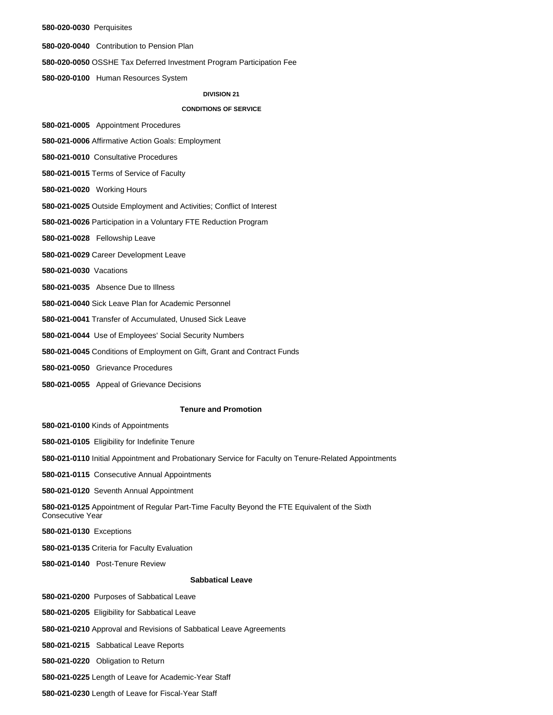#### **580-020-0030** Perquisites

**580-020-0040** Contribution to Pension Plan

**580-020-0050** OSSHE Tax Deferred Investment Program Participation Fee

**580-020-0100** Human Resources System

# **DIVISION 21**

### **CONDITIONS OF SERVICE**

**580-021-0005** Appointment Procedures

**580-021-0006** Affirmative Action Goals: Employment

**580-021-0010** Consultative Procedures

**580-021-0015** Terms of Service of Faculty

**580-021-0020** Working Hours

**580-021-0025** Outside Employment and Activities; Conflict of Interest

**580-021-0026** Participation in a Voluntary FTE Reduction Program

**580-021-0028** Fellowship Leave

**580-021-0029** Career Development Leave

**580-021-0030** Vacations

**580-021-0035** Absence Due to Illness

**580-021-0040** Sick Leave Plan for Academic Personnel

**580-021-0041** Transfer of Accumulated, Unused Sick Leave

**580-021-0044** Use of Employees' Social Security Numbers

**580-021-0045** Conditions of Employment on Gift, Grant and Contract Funds

**580-021-0050** Grievance Procedures

**580-021-0055** Appeal of Grievance Decisions

### **Tenure and Promotion**

**580-021-0100** Kinds of Appointments

**580-021-0105** Eligibility for Indefinite Tenure

**580-021-0110** Initial Appointment and Probationary Service for Faculty on Tenure-Related Appointments

**580-021-0115** Consecutive Annual Appointments

**580-021-0120** Seventh Annual Appointment

**580-021-0125** Appointment of Regular Part-Time Faculty Beyond the FTE Equivalent of the Sixth Consecutive Year

**580-021-0130** Exceptions

**580-021-0135** Criteria for Faculty Evaluation

**580-021-0140** Post-Tenure Review

### **Sabbatical Leave**

**580-021-0200** Purposes of Sabbatical Leave

**580-021-0205** Eligibility for Sabbatical Leave

**580-021-0210** Approval and Revisions of Sabbatical Leave Agreements

**580-021-0215** Sabbatical Leave Reports

**580-021-0220** Obligation to Return

**580-021-0225** Length of Leave for Academic-Year Staff

**580-021-0230** Length of Leave for Fiscal-Year Staff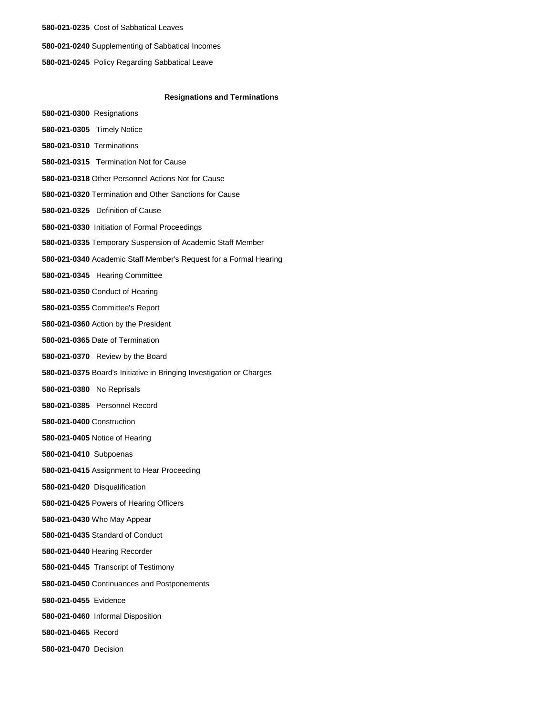**580-021-0235** Cost of Sabbatical Leaves **580-021-0240** Supplementing of Sabbatical Incomes **580-021-0245** Policy Regarding Sabbatical Leave

### **Resignations and Terminations**

**580-021-0300** Resignations **580-021-0305** Timely Notice **580-021-0310** Terminations **580-021-0315** Termination Not for Cause **580-021-0318** Other Personnel Actions Not for Cause **580-021-0320** Termination and Other Sanctions for Cause **580-021-0325** Definition of Cause **580-021-0330** Initiation of Formal Proceedings **580-021-0335** Temporary Suspension of Academic Staff Member **580-021-0340** Academic Staff Member's Request for a Formal Hearing **580-021-0345** Hearing Committee **580-021-0350** Conduct of Hearing **580-021-0355** Committee's Report **580-021-0360** Action by the President **580-021-0365** Date of Termination **580-021-0370** Review by the Board **580-021-0375** Board's Initiative in Bringing Investigation or Charges **580-021-0380** No Reprisals **580-021-0385** Personnel Record **580-021-0400** Construction **580-021-0405** Notice of Hearing **580-021-0410** Subpoenas **580-021-0415** Assignment to Hear Proceeding **580-021-0420** Disqualification **580-021-0425** Powers of Hearing Officers **580-021-0430** Who May Appear **580-021-0435** Standard of Conduct **580-021-0440** Hearing Recorder **580-021-0445** Transcript of Testimony **580-021-0450** Continuances and Postponements **580-021-0455** Evidence **580-021-0460** Informal Disposition **580-021-0465** Record **580-021-0470** Decision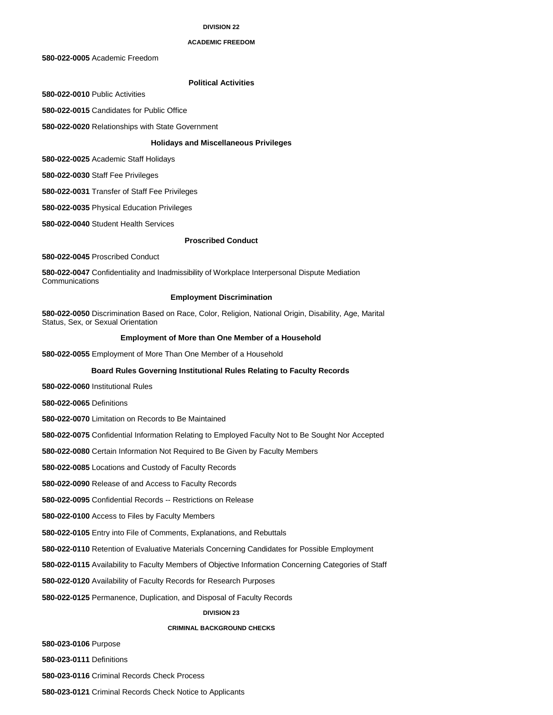### **DIVISION 22**

#### **ACADEMIC FREEDOM**

**580-022-0005** Academic Freedom

# **Political Activities**

**580-022-0010** Public Activities

**580-022-0015** Candidates for Public Office

**580-022-0020** Relationships with State Government

# **Holidays and Miscellaneous Privileges**

**580-022-0025** Academic Staff Holidays

**580-022-0030** Staff Fee Privileges

**580-022-0031** Transfer of Staff Fee Privileges

**580-022-0035** Physical Education Privileges

**580-022-0040** Student Health Services

### **Proscribed Conduct**

**580-022-0045** Proscribed Conduct

**580-022-0047** Confidentiality and Inadmissibility of Workplace Interpersonal Dispute Mediation **Communications** 

# **Employment Discrimination**

**580-022-0050** Discrimination Based on Race, Color, Religion, National Origin, Disability, Age, Marital Status, Sex, or Sexual Orientation

#### **Employment of More than One Member of a Household**

**580-022-0055** Employment of More Than One Member of a Household

# **Board Rules Governing Institutional Rules Relating to Faculty Records**

**580-022-0060** Institutional Rules

**580-022-0065** Definitions

**580-022-0070** Limitation on Records to Be Maintained

**580-022-0075** Confidential Information Relating to Employed Faculty Not to Be Sought Nor Accepted

**580-022-0080** Certain Information Not Required to Be Given by Faculty Members

**580-022-0085** Locations and Custody of Faculty Records

**580-022-0090** Release of and Access to Faculty Records

**580-022-0095** Confidential Records -- Restrictions on Release

**580-022-0100** Access to Files by Faculty Members

**580-022-0105** Entry into File of Comments, Explanations, and Rebuttals

**580-022-0110** Retention of Evaluative Materials Concerning Candidates for Possible Employment

**580-022-0115** Availability to Faculty Members of Objective Information Concerning Categories of Staff

**580-022-0120** Availability of Faculty Records for Research Purposes

**580-022-0125** Permanence, Duplication, and Disposal of Faculty Records

### **DIVISION 23**

# **CRIMINAL BACKGROUND CHECKS**

**580-023-0106** Purpose

**580-023-0111** Definitions

**580-023-0116** Criminal Records Check Process

**580-023-0121** Criminal Records Check Notice to Applicants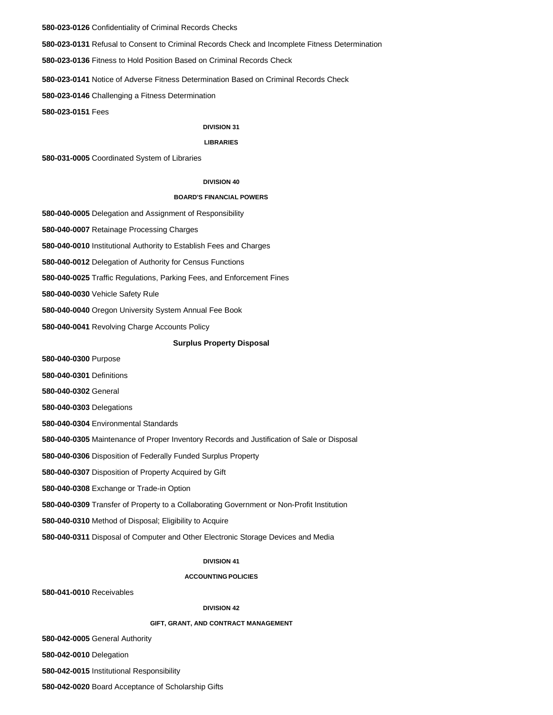**580-023-0126** Confidentiality of Criminal Records Checks

**580-023-0131** Refusal to Consent to Criminal Records Check and Incomplete Fitness Determination

**580-023-0136** Fitness to Hold Position Based on Criminal Records Check

**580-023-0141** Notice of Adverse Fitness Determination Based on Criminal Records Check

**580-023-0146** Challenging a Fitness Determination

**580-023-0151** Fees

### **DIVISION 31**

#### **LIBRARIES**

**580-031-0005** Coordinated System of Libraries

### **DIVISION 40**

### **BOARD'S FINANCIAL POWERS**

**580-040-0005** Delegation and Assignment of Responsibility

**580-040-0007** Retainage Processing Charges

**580-040-0010** Institutional Authority to Establish Fees and Charges

**580-040-0012** Delegation of Authority for Census Functions

**580-040-0025** Traffic Regulations, Parking Fees, and Enforcement Fines

**580-040-0030** Vehicle Safety Rule

**580-040-0040** Oregon University System Annual Fee Book

**580-040-0041** Revolving Charge Accounts Policy

### **Surplus Property Disposal**

**580-040-0300** Purpose

**580-040-0301** Definitions

**580-040-0302** General

**580-040-0303** Delegations

**580-040-0304** Environmental Standards

**580-040-0305** Maintenance of Proper Inventory Records and Justification of Sale or Disposal

**580-040-0306** Disposition of Federally Funded Surplus Property

**580-040-0307** Disposition of Property Acquired by Gift

**580-040-0308** Exchange or Trade-in Option

**580-040-0309** Transfer of Property to a Collaborating Government or Non-Profit Institution

**580-040-0310** Method of Disposal; Eligibility to Acquire

**580-040-0311** Disposal of Computer and Other Electronic Storage Devices and Media

# **DIVISION 41**

#### **ACCOUNTING POLICIES**

**580-041-0010** Receivables

#### **DIVISION 42**

### **GIFT, GRANT, AND CONTRACT MANAGEMENT**

**580-042-0005** General Authority

**580-042-0010** Delegation

**580-042-0015** Institutional Responsibility

**580-042-0020** Board Acceptance of Scholarship Gifts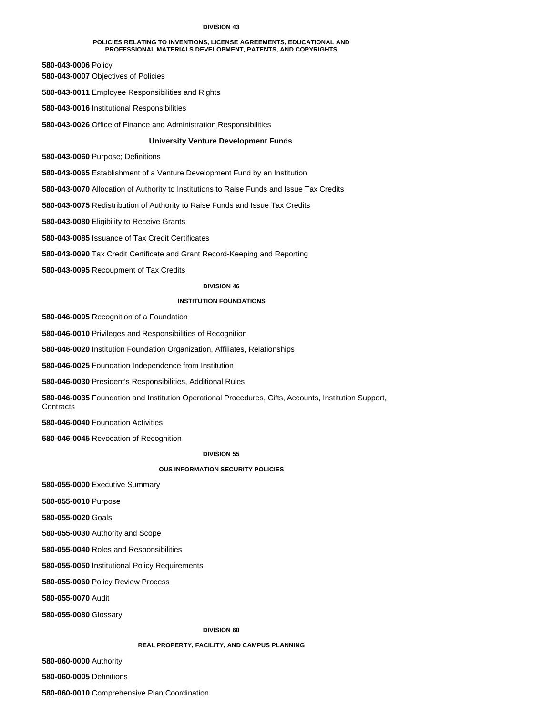#### **DIVISION 43**

#### **POLICIES RELATING TO INVENTIONS, LICENSE AGREEMENTS, EDUCATIONAL AND PROFESSIONAL MATERIALS DEVELOPMENT, PATENTS, AND COPYRIGHTS**

**580-043-0006** Policy

**580-043-0007** Objectives of Policies

**580-043-0011** Employee Responsibilities and Rights

**580-043-0016** Institutional Responsibilities

**580-043-0026** Office of Finance and Administration Responsibilities

# **University Venture Development Funds**

**580-043-0060** Purpose; Definitions

**580-043-0065** Establishment of a Venture Development Fund by an Institution

**580-043-0070** Allocation of Authority to Institutions to Raise Funds and Issue Tax Credits

**580-043-0075** Redistribution of Authority to Raise Funds and Issue Tax Credits

**580-043-0080** Eligibility to Receive Grants

**580-043-0085** Issuance of Tax Credit Certificates

**580-043-0090** Tax Credit Certificate and Grant Record-Keeping and Reporting

**580-043-0095** Recoupment of Tax Credits

#### **DIVISION 46**

### **INSTITUTION FOUNDATIONS**

**580-046-0005** Recognition of a Foundation

**580-046-0010** Privileges and Responsibilities of Recognition

**580-046-0020** Institution Foundation Organization, Affiliates, Relationships

**580-046-0025** Foundation Independence from Institution

**580-046-0030** President's Responsibilities, Additional Rules

**580-046-0035** Foundation and Institution Operational Procedures, Gifts, Accounts, Institution Support, **Contracts** 

**580-046-0040** Foundation Activities

**580-046-0045** Revocation of Recognition

### **DIVISION 55**

#### **OUS INFORMATION SECURITY POLICIES**

**580-055-0000** Executive Summary

**580-055-0010** Purpose

**580-055-0020** Goals

**580-055-0030** Authority and Scope

**580-055-0040** Roles and Responsibilities

**580-055-0050** Institutional Policy Requirements

**580-055-0060** Policy Review Process

**580-055-0070** Audit

**580-055-0080** Glossary

# **DIVISION 60**

# **REAL PROPERTY, FACILITY, AND CAMPUS PLANNING**

**580-060-0000** Authority

**580-060-0005** Definitions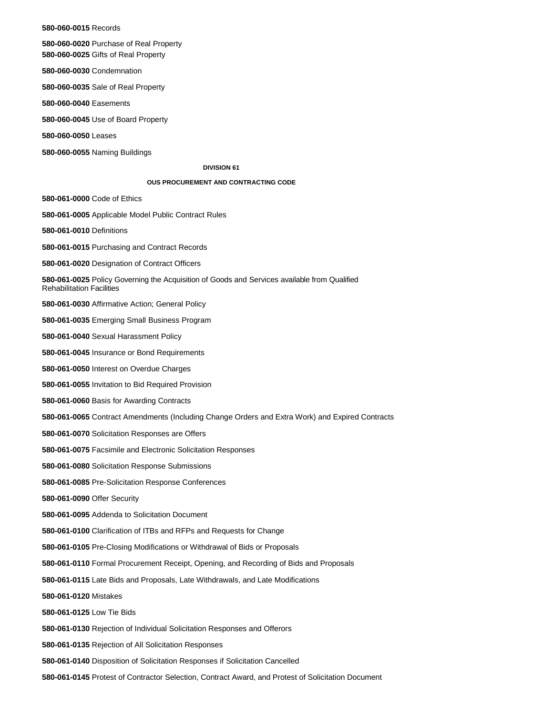**580-060-0015** Records

**580-060-0020** Purchase of Real Property **580-060-0025** Gifts of Real Property

**580-060-0030** Condemnation

**580-060-0035** Sale of Real Property

**580-060-0040** Easements

**580-060-0045** Use of Board Property

**580-060-0050** Leases

**580-060-0055** Naming Buildings

### **DIVISION 61**

# **OUS PROCUREMENT AND CONTRACTING CODE**

**580-061-0000** Code of Ethics

**580-061-0005** Applicable Model Public Contract Rules

**580-061-0010** Definitions

**580-061-0015** Purchasing and Contract Records

**580-061-0020** Designation of Contract Officers

**580-061-0025** Policy Governing the Acquisition of Goods and Services available from Qualified Rehabilitation Facilities

**580-061-0030** Affirmative Action; General Policy

**580-061-0035** Emerging Small Business Program

**580-061-0040** Sexual Harassment Policy

**580-061-0045** Insurance or Bond Requirements

**580-061-0050** Interest on Overdue Charges

**580-061-0055** Invitation to Bid Required Provision

**580-061-0060** Basis for Awarding Contracts

**580-061-0065** Contract Amendments (Including Change Orders and Extra Work) and Expired Contracts

**580-061-0070** Solicitation Responses are Offers

**580-061-0075** Facsimile and Electronic Solicitation Responses

**580-061-0080** Solicitation Response Submissions

**580-061-0085** Pre-Solicitation Response Conferences

**580-061-0090** Offer Security

**580-061-0095** Addenda to Solicitation Document

**580-061-0100** Clarification of ITBs and RFPs and Requests for Change

**580-061-0105** Pre-Closing Modifications or Withdrawal of Bids or Proposals

**580-061-0110** Formal Procurement Receipt, Opening, and Recording of Bids and Proposals

**580-061-0115** Late Bids and Proposals, Late Withdrawals, and Late Modifications

**580-061-0120** Mistakes

**580-061-0125** Low Tie Bids

**580-061-0130** Rejection of Individual Solicitation Responses and Offerors

**580-061-0135** Rejection of All Solicitation Responses

**580-061-0140** Disposition of Solicitation Responses if Solicitation Cancelled

**580-061-0145** Protest of Contractor Selection, Contract Award, and Protest of Solicitation Document